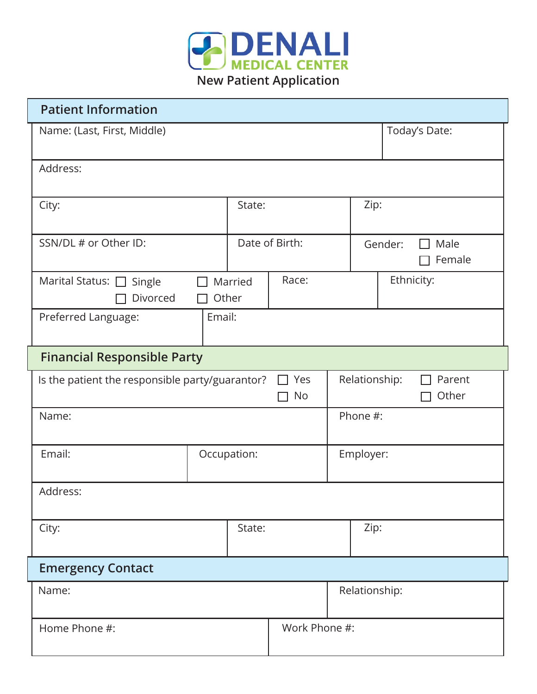

| <b>Patient Information</b>           |                                                              |                |               |                                  |
|--------------------------------------|--------------------------------------------------------------|----------------|---------------|----------------------------------|
| Name: (Last, First, Middle)          |                                                              |                |               | Today's Date:                    |
| Address:                             |                                                              |                |               |                                  |
| City:                                | State:                                                       |                | Zip:          |                                  |
| SSN/DL # or Other ID:                |                                                              | Date of Birth: |               | Male<br>Gender:<br>Female        |
| Marital Status: □ Single<br>Divorced | Married<br>Other<br>$\mathbf{I}$                             | Race:          |               | Ethnicity:                       |
| Preferred Language:                  | Email:                                                       |                |               |                                  |
| <b>Financial Responsible Party</b>   |                                                              |                |               |                                  |
|                                      | Yes<br>Is the patient the responsible party/guarantor?<br>No |                |               | Relationship:<br>Parent<br>Other |
| Name:                                |                                                              |                | Phone #:      |                                  |
| Email:                               | Occupation:                                                  |                |               | Employer:                        |
| Address:                             |                                                              |                |               |                                  |
| City:                                | State:                                                       |                | Zip:          |                                  |
| <b>Emergency Contact</b>             |                                                              |                |               |                                  |
| Name:                                |                                                              |                | Relationship: |                                  |
| Home Phone #:                        | Work Phone #:                                                |                |               |                                  |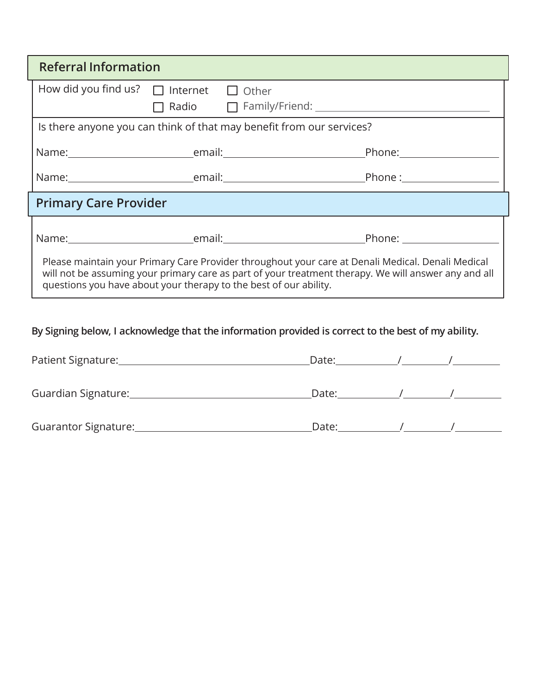| <b>Referral Information</b>                       |  |                                                                                                                                                                                                                                                                                |  |
|---------------------------------------------------|--|--------------------------------------------------------------------------------------------------------------------------------------------------------------------------------------------------------------------------------------------------------------------------------|--|
| How did you find us? $\Box$ Internet $\Box$ Other |  |                                                                                                                                                                                                                                                                                |  |
|                                                   |  |                                                                                                                                                                                                                                                                                |  |
|                                                   |  | Is there anyone you can think of that may benefit from our services?                                                                                                                                                                                                           |  |
|                                                   |  |                                                                                                                                                                                                                                                                                |  |
|                                                   |  |                                                                                                                                                                                                                                                                                |  |
| <b>Primary Care Provider</b>                      |  |                                                                                                                                                                                                                                                                                |  |
|                                                   |  |                                                                                                                                                                                                                                                                                |  |
|                                                   |  | Name: Name: Name: Name: Name: Name: Name: Name: Name: Name: Name: Name: Name: Name: Name: Name: Name: Name: Name: Name: Name: Name: Name: Name: Name: Name: Name: Name: Name: Name: Name: Name: Name: Name: Name: Name: Name:                                                  |  |
|                                                   |  | Please maintain your Primary Care Provider throughout your care at Denali Medical. Denali Medical<br>will not be assuming your primary care as part of your treatment therapy. We will answer any and all<br>questions you have about your therapy to the best of our ability. |  |

**By Signing below, I acknowledge that the information provided is correct to the best of my ability.**

| Patient Signature:   | Date: |  |
|----------------------|-------|--|
| Guardian Signature:  | Date: |  |
| Guarantor Signature: | Date: |  |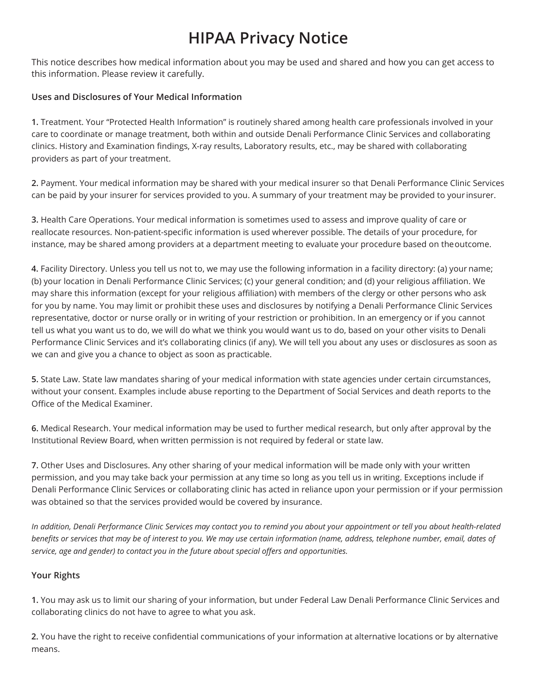### **HIPAA Privacy Notice**

This notice describes how medical information about you may be used and shared and how you can get access to this information. Please review it carefully.

#### **Uses and Disclosures of Your Medical Information**

**1.** Treatment. Your "Protected Health Information" is routinely shared among health care professionals involved in your care to coordinate or manage treatment, both within and outside Denali Performance Clinic Services and collaborating clinics. History and Examination findings, X-ray results, Laboratory results, etc., may be shared with collaborating providers as part of your treatment.

**2.** Payment. Your medical information may be shared with your medical insurer so that Denali Performance Clinic Services can be paid by your insurer for services provided to you. A summary of your treatment may be provided to your insurer.

**3.** Health Care Operations. Your medical information is sometimes used to assess and improve quality of care or reallocate resources. Non-patient-specific information is used wherever possible. The details of your procedure, for instance, may be shared among providers at a department meeting to evaluate your procedure based on theoutcome.

**4.** Facility Directory. Unless you tell us not to, we may use the following information in a facility directory: (a) your name; (b) your location in Denali Performance Clinic Services; (c) your general condition; and (d) your religious affiliation. We may share this information (except for your religious affiliation) with members of the clergy or other persons who ask for you by name. You may limit or prohibit these uses and disclosures by notifying a Denali Performance Clinic Services representative, doctor or nurse orally or in writing of your restriction or prohibition. In an emergency or if you cannot tell us what you want us to do, we will do what we think you would want us to do, based on your other visits to Denali Performance Clinic Services and it's collaborating clinics (if any). We will tell you about any uses or disclosures as soon as we can and give you a chance to object as soon as practicable.

**5.** State Law. State law mandates sharing of your medical information with state agencies under certain circumstances, without your consent. Examples include abuse reporting to the Department of Social Services and death reports to the Office of the Medical Examiner.

**6.** Medical Research. Your medical information may be used to further medical research, but only after approval by the Institutional Review Board, when written permission is not required by federal or state law.

**7.** Other Uses and Disclosures. Any other sharing of your medical information will be made only with your written permission, and you may take back your permission at any time so long as you tell us in writing. Exceptions include if Denali Performance Clinic Services or collaborating clinic has acted in reliance upon your permission or if your permission was obtained so that the services provided would be covered by insurance.

*In addition, Denali Performance Clinic Services may contact you to remind you about your appointment or tell you about health-related benefits or services that may be of interest to you. We may use certain information (name, address, telephone number, email, dates of service, age and gender) to contact you in the future about special offers and opportunities.*

#### **Your Rights**

**1.** You may ask us to limit our sharing of your information, but under Federal Law Denali Performance Clinic Services and collaborating clinics do not have to agree to what you ask.

**2.** You have the right to receive confidential communications of your information at alternative locations or by alternative means.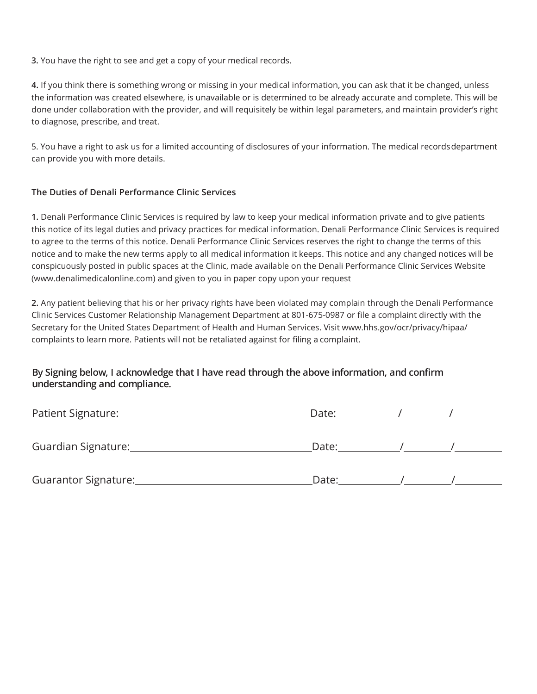**3.** You have the right to see and get a copy of your medical records.

**4.** If you think there is something wrong or missing in your medical information, you can ask that it be changed, unless the information was created elsewhere, is unavailable or is determined to be already accurate and complete. This will be done under collaboration with the provider, and will requisitely be within legal parameters, and maintain provider's right to diagnose, prescribe, and treat.

5. You have a right to ask us for a limited accounting of disclosures of your information. The medical recordsdepartment can provide you with more details.

#### **The Duties of Denali Performance Clinic Services**

**1.** Denali Performance Clinic Services is required by law to keep your medical information private and to give patients this notice of its legal duties and privacy practices for medical information. Denali Performance Clinic Services is required to agree to the terms of this notice. Denali Performance Clinic Services reserves the right to change the terms of this notice and to make the new terms apply to all medical information it keeps. This notice and any changed notices will be conspicuously posted in public spaces at the Clinic, made available on the Denali Performance Clinic Services Website (www.denalimedicalonline.com) and given to you in paper copy upon your request

**2.** Any patient believing that his or her privacy rights have been violated may complain through the Denali Performance Clinic Services Customer Relationship Management Department at 801-675-0987 or file a complaint directly with the Secretary for the United States Department of Health and Human Services. Visit [www.hhs.gov/ocr/privacy/hipaa/](http://www.hhs.gov/ocr/privacy/hipaa/) complaints to learn more. Patients will not be retaliated against for filing a complaint.

#### **By Signing below, I acknowledge that I have read through the above information, and confirm understanding and compliance.**

| Patient Signature:   | Date: |  |
|----------------------|-------|--|
| Guardian Signature:  | Date: |  |
| Guarantor Signature: | Date: |  |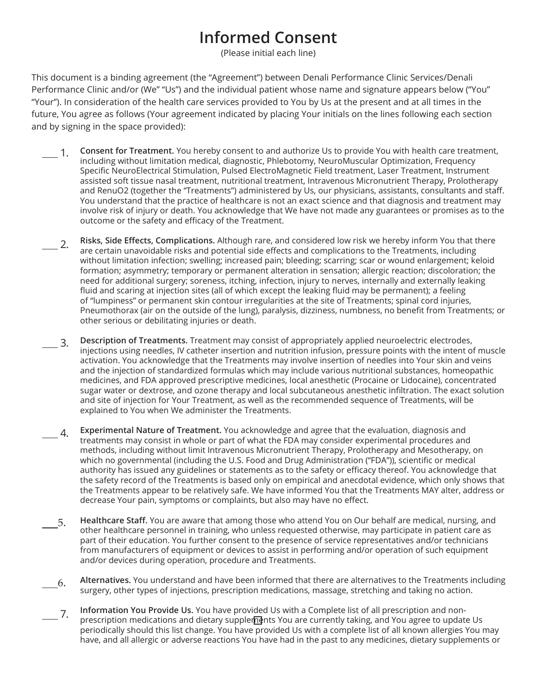## **Informed Consent**

(Please initial each line)

This document is a binding agreement (the "Agreement") between Denali Performance Clinic Services/Denali Performance Clinic and/or (We" "Us") and the individual patient whose name and signature appears below ("You" "Your"). In consideration of the health care services provided to You by Us at the present and at all times in the future, You agree as follows (Your agreement indicated by placing Your initials on the lines following each section and by signing in the space provided):

- 1. **Consent for Treatment.** You hereby consent to and authorize Us to provide You with health care treatment, including without limitation medical, diagnostic, Phlebotomy, NeuroMuscular Optimization, Frequency Specific NeuroElectrical Stimulation, Pulsed ElectroMagnetic Field treatment, Laser Treatment, Instrument assisted soft tissue nasal treatment, nutritional treatment, Intravenous Micronutrient Therapy, Prolotherapy and RenuO2 (together the "Treatments") administered by Us, our physicians, assistants, consultants and staff. You understand that the practice of healthcare is not an exact science and that diagnosis and treatment may involve risk of injury or death. You acknowledge that We have not made any guarantees or promises as to the outcome or the safety and efficacy of the Treatment.
- 2. **Risks, Side Effects, Complications.** Although rare, and considered low risk we hereby inform You that there are certain unavoidable risks and potential side effects and complications to the Treatments, including without limitation infection; swelling; increased pain; bleeding; scarring; scar or wound enlargement; keloid formation; asymmetry; temporary or permanent alteration in sensation; allergic reaction; discoloration; the need for additional surgery; soreness, itching, infection, injury to nerves, internally and externally leaking fluid and scaring at injection sites (all of which except the leaking fluid may be permanent); a feeling of "lumpiness" or permanent skin contour irregularities at the site of Treatments; spinal cord injuries, Pneumothorax (air on the outside of the lung), paralysis, dizziness, numbness, no benefit from Treatments; or other serious or debilitating injuries or death.
	- 3. **Description of Treatments.** Treatment may consist of appropriately applied neuroelectric electrodes, injections using needles, IV catheter insertion and nutrition infusion, pressure points with the intent of muscle activation. You acknowledge that the Treatments may involve insertion of needles into Your skin and veins and the injection of standardized formulas which may include various nutritional substances, homeopathic medicines, and FDA approved prescriptive medicines, local anesthetic (Procaine or Lidocaine), concentrated sugar water or dextrose, and ozone therapy and local subcutaneous anesthetic infiltration. The exact solution and site of injection for Your Treatment, as well as the recommended sequence of Treatments, will be explained to You when We administer the Treatments.
- 4. **Experimental Nature of Treatment.** You acknowledge and agree that the evaluation, diagnosis and treatments may consist in whole or part of what the FDA may consider experimental procedures and methods, including without limit Intravenous Micronutrient Therapy, Prolotherapy and Mesotherapy, on which no governmental (including the U.S. Food and Drug Administration ("FDA")), scientific or medical authority has issued any guidelines or statements as to the safety or efficacy thereof. You acknowledge that the safety record of the Treatments is based only on empirical and anecdotal evidence, which only shows that the Treatments appear to be relatively safe. We have informed You that the Treatments MAY alter, address or decrease Your pain, symptoms or complaints, but also may have no effect.
- 5. **Healthcare Staff.** You are aware that among those who attend You on Our behalf are medical, nursing, and other healthcare personnel in training, who unless requested otherwise, may participate in patient care as part of their education. You further consent to the presence of service representatives and/or technicians from manufacturers of equipment or devices to assist in performing and/or operation of such equipment and/or devices during operation, procedure and Treatments.
- 6. **Alternatives.** You understand and have been informed that there are alternatives to the Treatments including surgery, other types of injections, prescription medications, massage, stretching and taking no action.
- 7. **Information You Provide Us.** You have provided Us with a Complete list of all prescription and nonprescription medications and dietary supplements You are currently taking, and You agree to update Us periodically should this list change. You have provided Us with a complete list of all known allergies You may have, and all allergic or adverse reactions You have had in the past to any medicines, dietary supplements or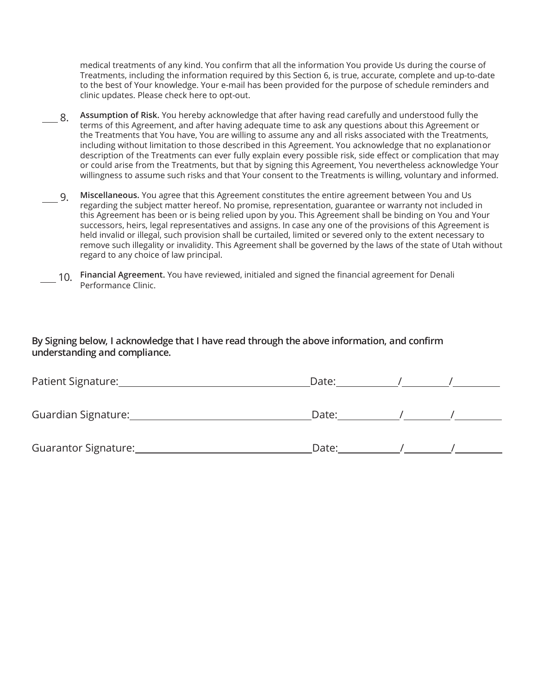medical treatments of any kind. You confirm that all the information You provide Us during the course of Treatments, including the information required by this Section 6, is true, accurate, complete and up-to-date to the best of Your knowledge. Your e-mail has been provided for the purpose of schedule reminders and clinic updates. Please check here to opt-out.

- 8. **Assumption of Risk.** You hereby acknowledge that after having read carefully and understood fully the terms of this Agreement, and after having adequate time to ask any questions about this Agreement or the Treatments that You have, You are willing to assume any and all risks associated with the Treatments, including without limitation to those described in this Agreement. You acknowledge that no explanationor description of the Treatments can ever fully explain every possible risk, side effect or complication that may or could arise from the Treatments, but that by signing this Agreement, You nevertheless acknowledge Your willingness to assume such risks and that Your consent to the Treatments is willing, voluntary and informed.
- 9. **Miscellaneous.** You agree that this Agreement constitutes the entire agreement between You and Us regarding the subject matter hereof. No promise, representation, guarantee or warranty not included in this Agreement has been or is being relied upon by you. This Agreement shall be binding on You and Your successors, heirs, legal representatives and assigns. In case any one of the provisions of this Agreement is held invalid or illegal, such provision shall be curtailed, limited or severed only to the extent necessary to remove such illegality or invalidity. This Agreement shall be governed by the laws of the state of Utah without regard to any choice of law principal.
- 10. **Financial Agreement.** You have reviewed, initialed and signed the financial agreement for Denali Performance Clinic.

#### **By Signing below, I acknowledge that I have read through the above information, and confirm understanding and compliance.**

| Patient Signature:   | Date: |  |
|----------------------|-------|--|
| Guardian Signature:  | Date: |  |
| Guarantor Signature: | Date: |  |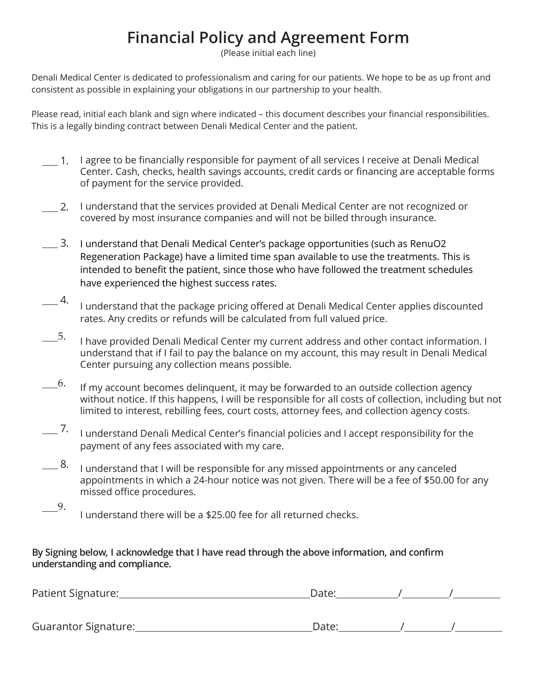## **Financial Policy and Agreement Form**

(Please initial each line)

Denali Medical Center is dedicated to professionalism and caring for our patients. We hope to be as up front and consistent as possible in explaining your obligations in our partnership to your health.

Please read, initial each blank and sign where indicated – this document describes your financial responsibilities. This is a legally binding contract between Denali Medical Center and the patient.

- 1. I agree to be financially responsible for payment of all services I receive at Denali Medical Center. Cash, checks, health savings accounts, credit cards or financing are acceptable forms of payment for the service provided.
- 2. I understand that the services provided at Denali Medical Center are not recognized or covered by most insurance companies and will not be billed through insurance.
- 3. I understand that Denali Medical Center's package opportunities (such as RenuO2 Regeneration Package) have a limited time span available to use the treatments. This is intended to benefit the patient, since those who have followed the treatment schedules have experienced the highest success rates.
- $\overline{\phantom{1}}$  4. I understand that the package pricing offered at Denali Medical Center applies discounted rates. Any credits or refunds will be calculated from full valued price.
- 5. I have provided Denali Medical Center my current address and other contact information. I understand that if I fail to pay the balance on my account, this may result in Denali Medical Center pursuing any collection means possible.
- 6. If my account becomes delinquent, it may be forwarded to an outside collection agency without notice. If this happens, I will be responsible for all costs of collection, including but not limited to interest, rebilling fees, court costs, attorney fees, and collection agency costs.
- 7. I understand Denali Medical Center's financial policies and I accept responsibility for the payment of any fees associated with my care.
- 8. I understand that I will be responsible for any missed appointments or any canceled appointments in which a 24-hour notice was not given. There will be a fee of \$50.00 for any missed office procedures.
	- 9. I understand there will be a \$25.00 fee for all returned checks.

**By Signing below, I acknowledge that I have read through the above information, and confirm understanding and compliance.**

| Patient Signature:   | Date: |  |  |
|----------------------|-------|--|--|
|                      |       |  |  |
| Guarantor Signature: | Date: |  |  |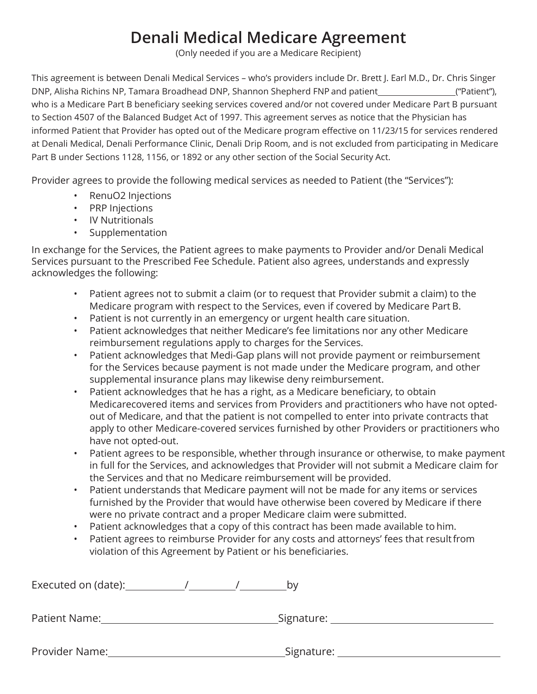## **Denali Medical Medicare Agreement**

(Only needed if you are a Medicare Recipient)

This agreement is between Denali Medical Services – who's providers include Dr. Brett J. Earl M.D., Dr. Chris Singer DNP, Alisha Richins NP, Tamara Broadhead DNP, Shannon Shepherd FNP and patient [100] ("Patient"), who is a Medicare Part B beneficiary seeking services covered and/or not covered under Medicare Part B pursuant to Section 4507 of the Balanced Budget Act of 1997. This agreement serves as notice that the Physician has informed Patient that Provider has opted out of the Medicare program effective on 11/23/15 for services rendered at Denali Medical, Denali Performance Clinic, Denali Drip Room, and is not excluded from participating in Medicare Part B under Sections 1128, 1156, or 1892 or any other section of the Social Security Act.

Provider agrees to provide the following medical services as needed to Patient (the "Services"):

- RenuO2 Injections
- PRP Injections
- IV Nutritionals
- Supplementation

In exchange for the Services, the Patient agrees to make payments to Provider and/or Denali Medical Services pursuant to the Prescribed Fee Schedule. Patient also agrees, understands and expressly acknowledges the following:

- Patient agrees not to submit a claim (or to request that Provider submit a claim) to the Medicare program with respect to the Services, even if covered by Medicare Part B.
- Patient is not currently in an emergency or urgent health care situation.
- Patient acknowledges that neither Medicare's fee limitations nor any other Medicare reimbursement regulations apply to charges for the Services.
- Patient acknowledges that Medi-Gap plans will not provide payment or reimbursement for the Services because payment is not made under the Medicare program, and other supplemental insurance plans may likewise deny reimbursement.
- Patient acknowledges that he has a right, as a Medicare beneficiary, to obtain Medicarecovered items and services from Providers and practitioners who have not optedout of Medicare, and that the patient is not compelled to enter into private contracts that apply to other Medicare-covered services furnished by other Providers or practitioners who have not opted-out.
- Patient agrees to be responsible, whether through insurance or otherwise, to make payment in full for the Services, and acknowledges that Provider will not submit a Medicare claim for the Services and that no Medicare reimbursement will be provided.
- Patient understands that Medicare payment will not be made for any items or services furnished by the Provider that would have otherwise been covered by Medicare if there were no private contract and a proper Medicare claim were submitted.
- Patient acknowledges that a copy of this contract has been made available to him.
- Patient agrees to reimburse Provider for any costs and attorneys' fees that result from violation of this Agreement by Patient or his beneficiaries.

| Executed on (date): | b٧            |
|---------------------|---------------|
| Patient Name:       | Signature:    |
| Provider Name:      | _Signature: _ |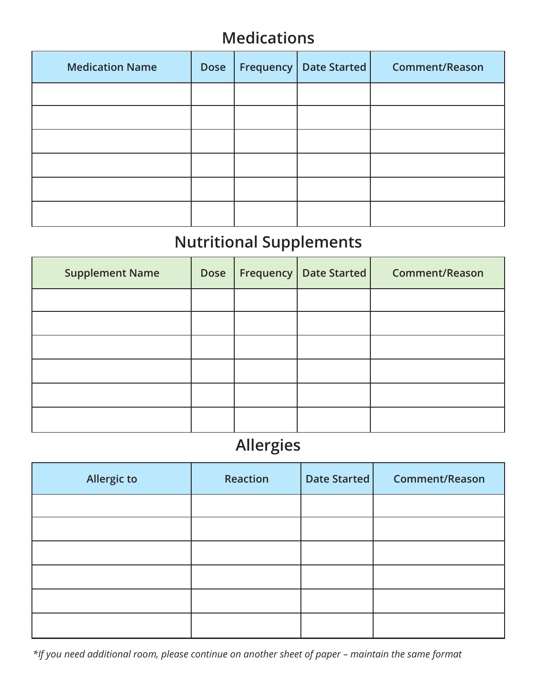### **Medications**

| <b>Medication Name</b> | <b>Dose</b> | Frequency | Date Started | <b>Comment/Reason</b> |
|------------------------|-------------|-----------|--------------|-----------------------|
|                        |             |           |              |                       |
|                        |             |           |              |                       |
|                        |             |           |              |                       |
|                        |             |           |              |                       |
|                        |             |           |              |                       |
|                        |             |           |              |                       |

# **Nutritional Supplements**

| <b>Supplement Name</b> | <b>Dose</b> | <b>Frequency   Date Started  </b> | <b>Comment/Reason</b> |
|------------------------|-------------|-----------------------------------|-----------------------|
|                        |             |                                   |                       |
|                        |             |                                   |                       |
|                        |             |                                   |                       |
|                        |             |                                   |                       |
|                        |             |                                   |                       |
|                        |             |                                   |                       |

### **Allergies**

| <b>Allergic to</b> | <b>Reaction</b> | Date Started | <b>Comment/Reason</b> |
|--------------------|-----------------|--------------|-----------------------|
|                    |                 |              |                       |
|                    |                 |              |                       |
|                    |                 |              |                       |
|                    |                 |              |                       |
|                    |                 |              |                       |
|                    |                 |              |                       |

*\*If you need additional room, please continue on another sheet of paper – maintain the same format*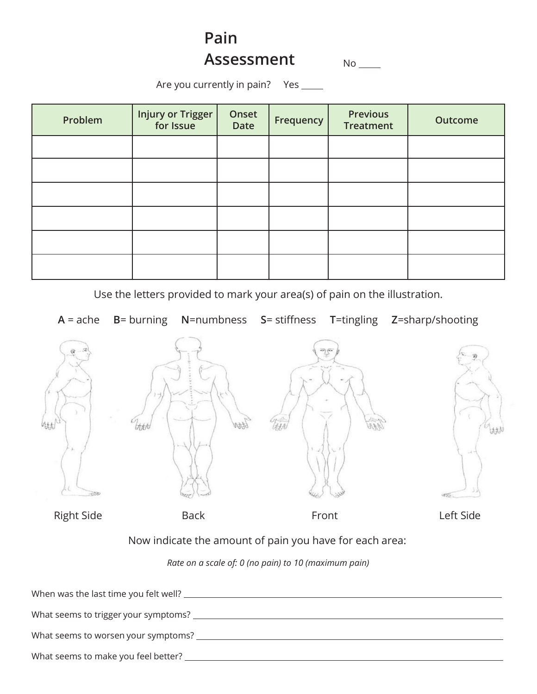## **Pain Assessment**

No

Are you currently in pain? Yes \_\_\_\_\_

| Problem | <b>Injury or Trigger</b><br>for Issue | Onset<br><b>Date</b> | Frequency | <b>Previous</b><br><b>Treatment</b> | <b>Outcome</b> |
|---------|---------------------------------------|----------------------|-----------|-------------------------------------|----------------|
|         |                                       |                      |           |                                     |                |
|         |                                       |                      |           |                                     |                |
|         |                                       |                      |           |                                     |                |
|         |                                       |                      |           |                                     |                |
|         |                                       |                      |           |                                     |                |
|         |                                       |                      |           |                                     |                |

Use the letters provided to mark your area(s) of pain on the illustration.



| When was the last time you felt well? |
|---------------------------------------|
|                                       |
| What seems to trigger your symptoms?  |
|                                       |
| What seems to worsen your symptoms?   |
|                                       |
| What seems to make you feel better?   |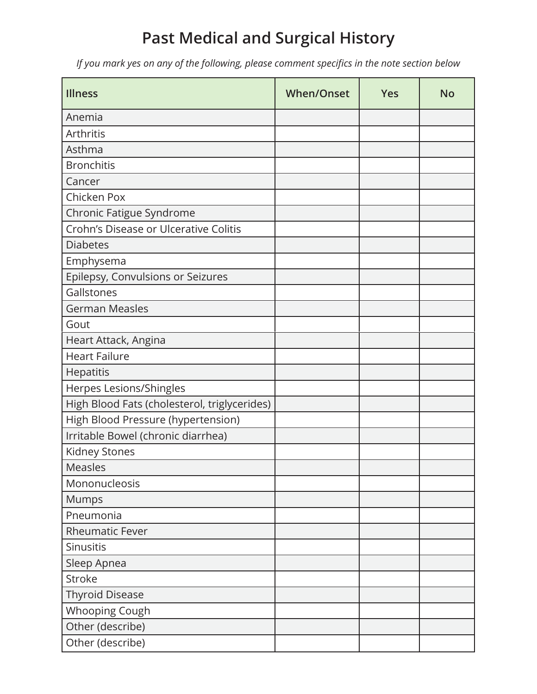## **Past Medical and Surgical History**

*If you mark yes on any of the following, please comment specifics in the note section below*

| <b>Illness</b>                               | <b>When/Onset</b> | <b>Yes</b> | <b>No</b> |
|----------------------------------------------|-------------------|------------|-----------|
| Anemia                                       |                   |            |           |
| Arthritis                                    |                   |            |           |
| Asthma                                       |                   |            |           |
| <b>Bronchitis</b>                            |                   |            |           |
| Cancer                                       |                   |            |           |
| Chicken Pox                                  |                   |            |           |
| Chronic Fatigue Syndrome                     |                   |            |           |
| Crohn's Disease or Ulcerative Colitis        |                   |            |           |
| <b>Diabetes</b>                              |                   |            |           |
| Emphysema                                    |                   |            |           |
| Epilepsy, Convulsions or Seizures            |                   |            |           |
| Gallstones                                   |                   |            |           |
| <b>German Measles</b>                        |                   |            |           |
| Gout                                         |                   |            |           |
| Heart Attack, Angina                         |                   |            |           |
| <b>Heart Failure</b>                         |                   |            |           |
| Hepatitis                                    |                   |            |           |
| Herpes Lesions/Shingles                      |                   |            |           |
| High Blood Fats (cholesterol, triglycerides) |                   |            |           |
| High Blood Pressure (hypertension)           |                   |            |           |
| Irritable Bowel (chronic diarrhea)           |                   |            |           |
| Kidney Stones                                |                   |            |           |
| Measles                                      |                   |            |           |
| Mononucleosis                                |                   |            |           |
| <b>Mumps</b>                                 |                   |            |           |
| Pneumonia                                    |                   |            |           |
| <b>Rheumatic Fever</b>                       |                   |            |           |
| Sinusitis                                    |                   |            |           |
| Sleep Apnea                                  |                   |            |           |
| Stroke                                       |                   |            |           |
| <b>Thyroid Disease</b>                       |                   |            |           |
| Whooping Cough                               |                   |            |           |
| Other (describe)                             |                   |            |           |
| Other (describe)                             |                   |            |           |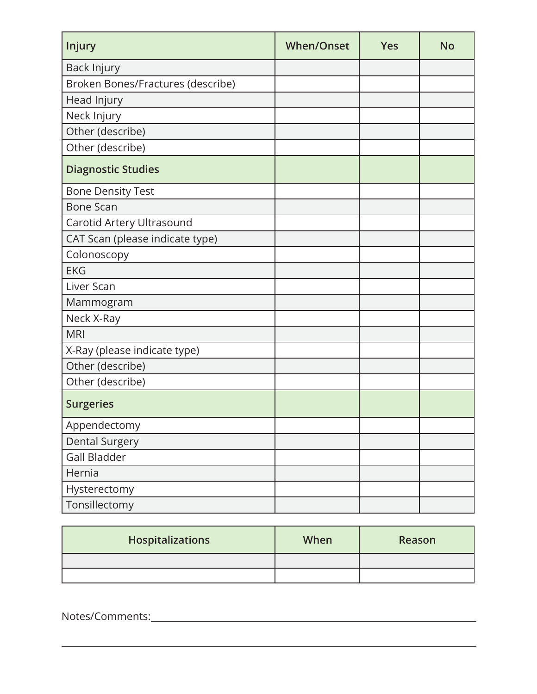| Injury                            | <b>When/Onset</b> | <b>Yes</b> | <b>No</b> |
|-----------------------------------|-------------------|------------|-----------|
| Back Injury                       |                   |            |           |
| Broken Bones/Fractures (describe) |                   |            |           |
| Head Injury                       |                   |            |           |
| Neck Injury                       |                   |            |           |
| Other (describe)                  |                   |            |           |
| Other (describe)                  |                   |            |           |
| <b>Diagnostic Studies</b>         |                   |            |           |
| <b>Bone Density Test</b>          |                   |            |           |
| <b>Bone Scan</b>                  |                   |            |           |
| Carotid Artery Ultrasound         |                   |            |           |
| CAT Scan (please indicate type)   |                   |            |           |
| Colonoscopy                       |                   |            |           |
| <b>EKG</b>                        |                   |            |           |
| Liver Scan                        |                   |            |           |
| Mammogram                         |                   |            |           |
| Neck X-Ray                        |                   |            |           |
| <b>MRI</b>                        |                   |            |           |
| X-Ray (please indicate type)      |                   |            |           |
| Other (describe)                  |                   |            |           |
| Other (describe)                  |                   |            |           |
| <b>Surgeries</b>                  |                   |            |           |
| Appendectomy                      |                   |            |           |
| <b>Dental Surgery</b>             |                   |            |           |
| <b>Gall Bladder</b>               |                   |            |           |
| Hernia                            |                   |            |           |
| Hysterectomy                      |                   |            |           |
| Tonsillectomy                     |                   |            |           |

| <b>Hospitalizations</b> | When | Reason |
|-------------------------|------|--------|
|                         |      |        |
|                         |      |        |

Notes/Comments: